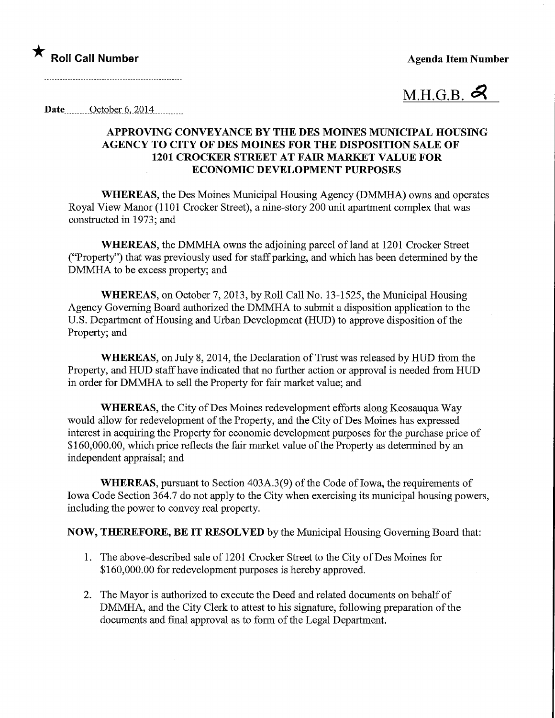★<br>Roll Call Number Agenda Item Number



Date........ October 6,\_2Q14\_.

## APPROVING CONVEYANCE BY THE DES MOINES MUNICIPAL HOUSING AGENCY TO CITY OF DES MOINES FOR THE DISPOSITION SALE OF 1201 CROCKER STREET AT FAIR MARKET VALUE FOR ECONOMIC DEVELOPMENT PURPOSES

WHEREAS, the Des Moines Municipal Housing Agency (DMMHA) owns and operates Royal View Manor (1101 Crocker Street), a nine-story 200 unit apartment complex that was constructed in 1973; and

WHEREAS, the DMMHA owns the adjoining parcel of land at 1201 Crocker Street ("Property") that was previously used for staff parking, and which has been determined by the DMMHA to be excess property; and

WHEREAS, on October 7, 2013, by Roll Call No. 13-1525, the Municipal Housing Agency Governing Board authorized the DMMHA to submit a disposition application to the U.S. Department of Housing and Urban Development (HUD) to approve disposition of the Property; and

WHEREAS, on July 8, 2014, the Declaration of Trust was released by HUD from the Property, and HUD staff have indicated that no further action or approval is needed from HUD in order for DMMHA to sell the Property for fair market value; and

WHEREAS, the City of Des Moines redevelopment efforts along Keosauqua Way would allow for redevelopment of the Property, and the City of Des Moines has expressed interest in acquiring the Property for economic development purposes for the purchase price of \$160,000.00, which price reflects the fair market value of the Property as determined by an independent appraisal; and

WHEREAS, pursuant to Section 403A.3(9) of the Code of Iowa, the requirements of Iowa Code Section 364.7 do not apply to the City when exercising its municipal housing powers, including the power to convey real property.

NOW, THEREFORE, BE IT RESOLVED by the Municipal Housing Governing Board that:

- 1. The above-described sale of 1201 Crocker Street to the City of Des Moines for \$160,000.00 for redevelopment purposes is hereby approved.
- 2. The Mayor is authorized to execute the Deed and related documents on behalf of DMMHA, and the City Clerk to attest to his signature, following preparation of the documents and final approval as to form of the Legal Department.